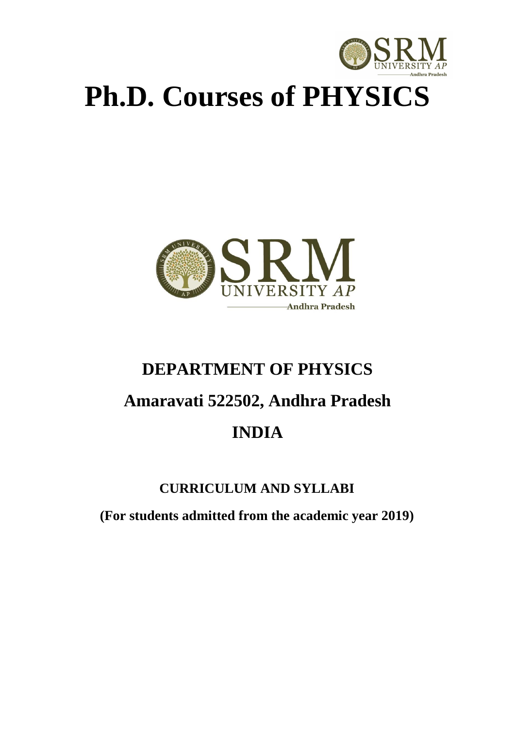

# **Ph.D. Courses of PHYSICS**



# **DEPARTMENT OF PHYSICS Amaravati 522502, Andhra Pradesh INDIA**

# **CURRICULUM AND SYLLABI**

**(For students admitted from the academic year 2019)**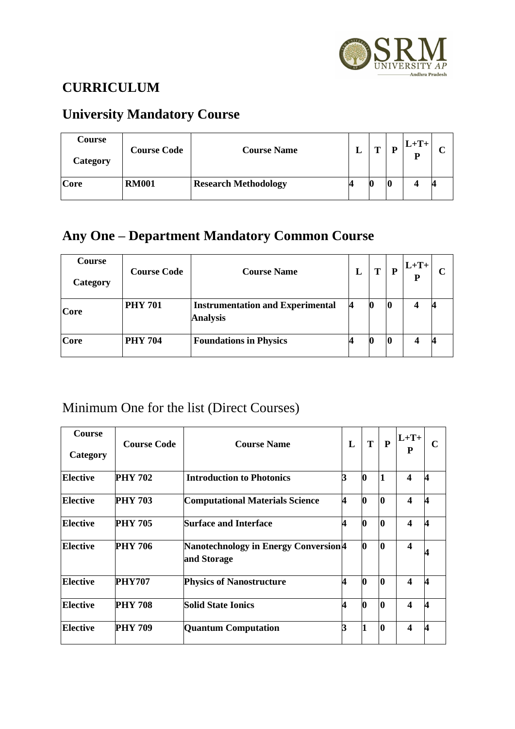

# **CURRICULUM**

# **University Mandatory Course**

| Course<br>Category | <b>Course Code</b> | <b>Course Name</b>          | m | D  | $L+T+$<br>P |  |
|--------------------|--------------------|-----------------------------|---|----|-------------|--|
| Core               | <b>RM001</b>       | <b>Research Methodology</b> |   | л. |             |  |

# **Any One – Department Mandatory Common Course**

| <b>Course</b><br>Category | <b>Course Code</b> | <b>Course Name</b>                                         | L | Т | P  | $L+T+$<br>P |  |
|---------------------------|--------------------|------------------------------------------------------------|---|---|----|-------------|--|
| Core                      | <b>PHY 701</b>     | <b>Instrumentation and Experimental</b><br><b>Analysis</b> | И |   | 10 | 4           |  |
| Core                      | <b>PHY 704</b>     | <b>Foundations in Physics</b>                              |   |   |    |             |  |

# Minimum One for the list (Direct Courses)

| <b>Course</b><br>Category | <b>Course Code</b> | <b>Course Name</b>                                                | $\mathbf{L}$            | T        | P            | $L+T+$<br>P             | C |
|---------------------------|--------------------|-------------------------------------------------------------------|-------------------------|----------|--------------|-------------------------|---|
| <b>Elective</b>           | <b>PHY 702</b>     | <b>Introduction to Photonics</b>                                  |                         | Ю        | 1            | $\boldsymbol{4}$        | 4 |
| <b>Elective</b>           | <b>PHY 703</b>     | <b>Computational Materials Science</b>                            | $\overline{\mathbf{4}}$ |          | l0           | $\boldsymbol{4}$        |   |
| <b>Elective</b>           | <b>PHY 705</b>     | <b>Surface and Interface</b>                                      | 4                       |          | l0           | $\overline{\mathbf{4}}$ |   |
| <b>Elective</b>           | PHY 706            | Nanotechnology in Energy Conversion <sup>[4]</sup><br>and Storage |                         |          | l0           | $\boldsymbol{4}$        |   |
| <b>Elective</b>           | PHY707             | <b>Physics of Nanostructure</b>                                   | 4                       |          | <sup>0</sup> | $\overline{\mathbf{4}}$ |   |
| <b>Elective</b>           | <b>PHY 708</b>     | <b>Solid State Ionics</b>                                         | 4                       | <b>O</b> | l0           | $\boldsymbol{4}$        | 4 |
| <b>Elective</b>           | <b>PHY 709</b>     | <b>Quantum Computation</b>                                        |                         |          | 0            | $\boldsymbol{4}$        | 4 |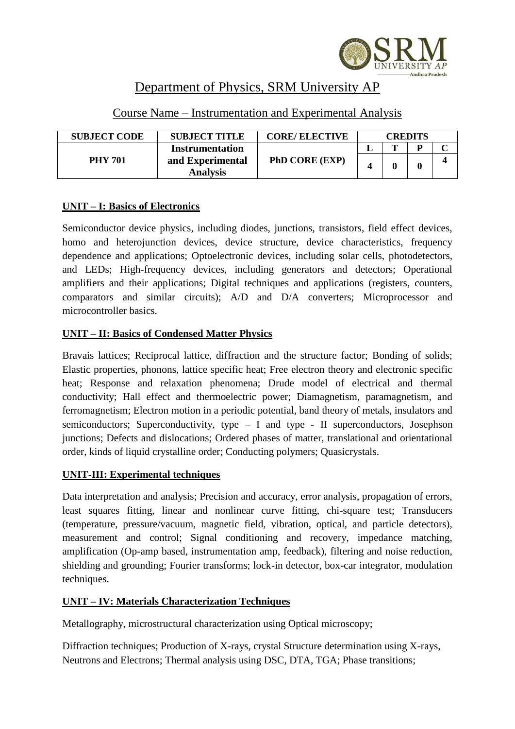

# Department of Physics, SRM University AP

| <b>SUBJECT CODE</b> | <b>SUBJECT TITLE</b>                | <b>CORE/ ELECTIVE</b> |   | <b>CREDITS</b> |  |  |
|---------------------|-------------------------------------|-----------------------|---|----------------|--|--|
|                     | <b>Instrumentation</b>              |                       | m |                |  |  |
| <b>PHY 701</b>      | and Experimental<br><b>Analysis</b> | <b>PhD CORE (EXP)</b> |   |                |  |  |

# Course Name – Instrumentation and Experimental Analysis

# **UNIT – I: Basics of Electronics**

Semiconductor device physics, including diodes, junctions, transistors, field effect devices, homo and heterojunction devices, device structure, device characteristics, frequency dependence and applications; Optoelectronic devices, including solar cells, photodetectors, and LEDs; High-frequency devices, including generators and detectors; Operational amplifiers and their applications; Digital techniques and applications (registers, counters, comparators and similar circuits); A/D and D/A converters; Microprocessor and microcontroller basics.

# **UNIT – II: Basics of Condensed Matter Physics**

Bravais lattices; Reciprocal lattice, diffraction and the structure factor; Bonding of solids; Elastic properties, phonons, lattice specific heat; Free electron theory and electronic specific heat; Response and relaxation phenomena; Drude model of electrical and thermal conductivity; Hall effect and thermoelectric power; Diamagnetism, paramagnetism, and ferromagnetism; Electron motion in a periodic potential, band theory of metals, insulators and semiconductors; Superconductivity, type – I and type - II superconductors, Josephson junctions; Defects and dislocations; Ordered phases of matter, translational and orientational order, kinds of liquid crystalline order; Conducting polymers; Quasicrystals.

# **UNIT-III: Experimental techniques**

Data interpretation and analysis; Precision and accuracy, error analysis, propagation of errors, least squares fitting, linear and nonlinear curve fitting, chi-square test; Transducers (temperature, pressure/vacuum, magnetic field, vibration, optical, and particle detectors), measurement and control; Signal conditioning and recovery, impedance matching, amplification (Op-amp based, instrumentation amp, feedback), filtering and noise reduction, shielding and grounding; Fourier transforms; lock-in detector, box-car integrator, modulation techniques.

# **UNIT – IV: Materials Characterization Techniques**

Metallography, microstructural characterization using Optical microscopy;

Diffraction techniques; Production of X-rays, crystal Structure determination using X-rays, Neutrons and Electrons; Thermal analysis using DSC, DTA, TGA; Phase transitions;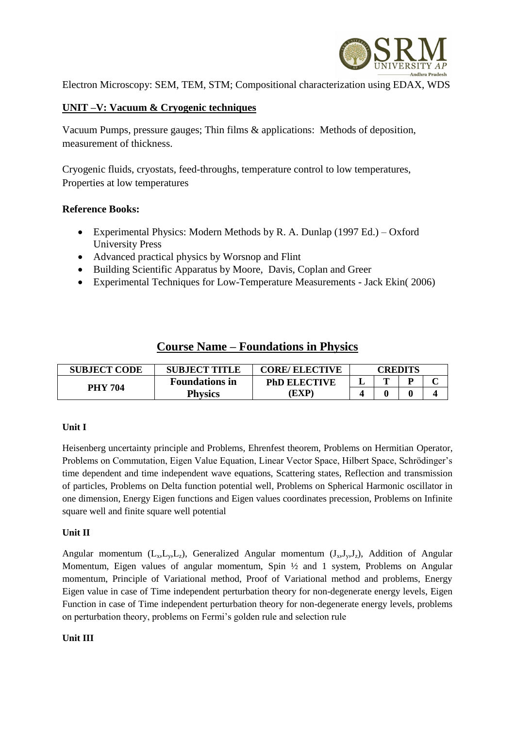

Electron Microscopy: SEM, TEM, STM; Compositional characterization using EDAX, WDS

# **UNIT –V: Vacuum & Cryogenic techniques**

Vacuum Pumps, pressure gauges; Thin films & applications: Methods of deposition, measurement of thickness.

Cryogenic fluids, cryostats, feed-throughs, temperature control to low temperatures, Properties at low temperatures

#### **Reference Books:**

- [Experimental Physics: Modern Methods](http://www.amazon.com/dp/0195049497/ref=rdr_ext_tmb) by [R. A. Dunlap](http://www.amazon.com/s/ref=rdr_ext_aut?_encoding=UTF8&index=books&field-author=R.%20A.%20Dunlap) (1997 Ed.) Oxford University Press
- Advanced practical physics by Worsnop and Flint
- Building Scientific Apparatus by Moore, Davis, Coplan and Greer
- Experimental Techniques for Low-Temperature Measurements Jack Ekin( 2006)

# **Course Name – Foundations in Physics**

| <b>SUBJECT CODE</b> | <b>SUBJECT TITLE</b><br><b>CORE/ ELECTIVE</b> |                     |   | CREDITS |  |  |
|---------------------|-----------------------------------------------|---------------------|---|---------|--|--|
|                     | <b>Foundations in</b>                         | <b>PhD ELECTIVE</b> | ≖ | m       |  |  |
| <b>PHY 704</b>      | <b>Physics</b>                                | EXP)                |   |         |  |  |

# **Unit I**

Heisenberg uncertainty principle and Problems, Ehrenfest theorem, Problems on Hermitian Operator, Problems on Commutation, Eigen Value Equation, Linear Vector Space, Hilbert Space, Schrödinger's time dependent and time independent wave equations, Scattering states, Reflection and transmission of particles, Problems on Delta function potential well, Problems on Spherical Harmonic oscillator in one dimension, Energy Eigen functions and Eigen values coordinates precession, Problems on Infinite square well and finite square well potential

#### **Unit II**

Angular momentum  $(L_x, L_y, L_z)$ , Generalized Angular momentum  $(J_x, J_y, J_z)$ , Addition of Angular Momentum, Eigen values of angular momentum, Spin ½ and 1 system, Problems on Angular momentum, Principle of Variational method, Proof of Variational method and problems, Energy Eigen value in case of Time independent perturbation theory for non-degenerate energy levels, Eigen Function in case of Time independent perturbation theory for non-degenerate energy levels, problems on perturbation theory, problems on Fermi's golden rule and selection rule

#### **Unit III**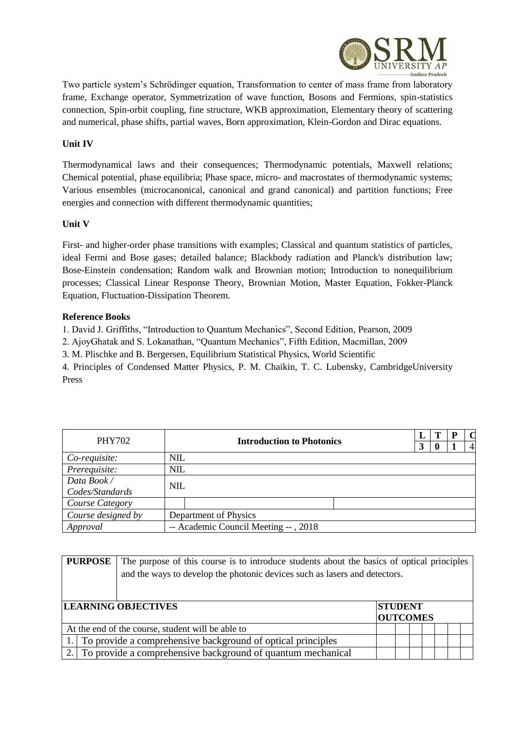

Two particle system's Schrödinger equation, Transformation to center of mass frame from laboratory frame, Exchange operator, Symmetrization of wave function, Bosons and Fermions, spin-statistics connection, Spin-orbit coupling, fine structure, WKB approximation, Elementary theory of scattering and numerical, phase shifts, partial waves, Born approximation, Klein-Gordon and Dirac equations.

#### **Unit IV**

Thermodynamical laws and their consequences; Thermodynamic potentials, Maxwell relations; Chemical potential, phase equilibria; Phase space, micro- and macrostates of thermodynamic systems; Various ensembles (microcanonical, canonical and grand canonical) and partition functions; Free energies and connection with different thermodynamic quantities;

#### **Unit V**

First- and higher-order phase transitions with examples; Classical and quantum statistics of particles, ideal Fermi and Bose gases; detailed balance; Blackbody radiation and Planck's distribution law; Bose-Einstein condensation; Random walk and Brownian motion; Introduction to nonequilibrium processes; Classical Linear Response Theory, Brownian Motion, Master Equation, Fokker-Planck Equation, Fluctuation-Dissipation Theorem.

#### **Reference Books**

1. David J. Griffiths, "Introduction to Quantum Mechanics", Second Edition, Pearson, 2009

2. AjoyGhatak and S. Lokanathan, "Quantum Mechanics", Fifth Edition, Macmillan, 2009

3. M. Plischke and B. Bergersen, Equilibrium Statistical Physics, World Scientific

4. Principles of Condensed Matter Physics, P. M. Chaikin, T. C. Lubensky, CambridgeUniversity Press

| <b>PHY702</b>      | <b>Introduction to Photonics</b>     | 3 | Т<br>$\bf{0}$ | $\Omega$<br>$\overline{4}$ |
|--------------------|--------------------------------------|---|---------------|----------------------------|
| Co-requisite:      | <b>NIL</b>                           |   |               |                            |
| Prerequisite:      | NIL                                  |   |               |                            |
| Data Book/         |                                      |   |               |                            |
| Codes/Standards    | <b>NIL</b>                           |   |               |                            |
| Course Category    |                                      |   |               |                            |
| Course designed by | Department of Physics                |   |               |                            |
| Approval           | -- Academic Council Meeting --, 2018 |   |               |                            |

| <b>PURPOSE</b><br>The purpose of this course is to introduce students about the basics of optical principles<br>and the ways to develop the photonic devices such as lasers and detectors. |                                                                |  |  |  |  |  |
|--------------------------------------------------------------------------------------------------------------------------------------------------------------------------------------------|----------------------------------------------------------------|--|--|--|--|--|
| <b>LEARNING OBJECTIVES</b><br><b>STUDENT</b><br><b>OUTCOMES</b>                                                                                                                            |                                                                |  |  |  |  |  |
|                                                                                                                                                                                            | At the end of the course, student will be able to              |  |  |  |  |  |
|                                                                                                                                                                                            | 1. To provide a comprehensive background of optical principles |  |  |  |  |  |
|                                                                                                                                                                                            | 2. To provide a comprehensive background of quantum mechanical |  |  |  |  |  |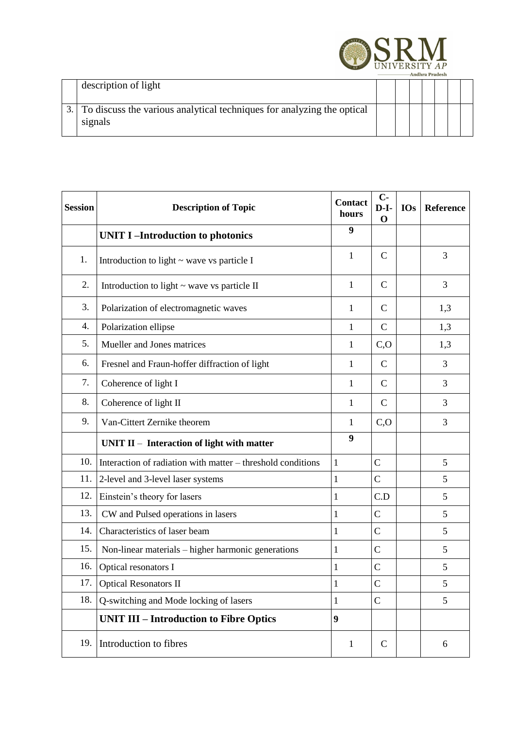

| description of light                                                                 |  |  |  |  |
|--------------------------------------------------------------------------------------|--|--|--|--|
| 3. To discuss the various analytical techniques for analyzing the optical<br>signals |  |  |  |  |

| <b>Session</b> | <b>Description of Topic</b>                                 | <b>Contact</b><br>hours | $C -$<br>$D-I-$<br>$\Omega$ | <b>IOs</b> | Reference |
|----------------|-------------------------------------------------------------|-------------------------|-----------------------------|------------|-----------|
|                | <b>UNIT I-Introduction to photonics</b>                     | 9                       |                             |            |           |
| 1.             | Introduction to light $\sim$ wave vs particle I             | 1                       | $\mathbf C$                 |            | 3         |
| 2.             | Introduction to light $\sim$ wave vs particle II            | 1                       | $\mathcal{C}$               |            | 3         |
| 3.             | Polarization of electromagnetic waves                       | 1                       | $\mathcal{C}$               |            | 1,3       |
| 4.             | Polarization ellipse                                        | 1                       | $\mathcal{C}$               |            | 1,3       |
| 5.             | Mueller and Jones matrices                                  | 1                       | C, O                        |            | 1,3       |
| 6.             | Fresnel and Fraun-hoffer diffraction of light               | 1                       | $\mathcal{C}$               |            | 3         |
| 7.             | Coherence of light I                                        | 1                       | $\mathcal{C}$               |            | 3         |
| 8.             | Coherence of light II                                       | 1                       | $\mathcal{C}$               |            | 3         |
| 9.             | Van-Cittert Zernike theorem                                 | $\mathbf{1}$            | C, O                        |            | 3         |
|                | UNIT $II$ – Interaction of light with matter                | $\boldsymbol{9}$        |                             |            |           |
| 10.            | Interaction of radiation with matter – threshold conditions | $\mathbf{1}$            | $\mathbf C$                 |            | 5         |
| 11.            | 2-level and 3-level laser systems                           | $\mathbf{1}$            | $\mathcal{C}$               |            | 5         |
| 12.            | Einstein's theory for lasers                                | $\mathbf{1}$            | C.D                         |            | 5         |
| 13.            | CW and Pulsed operations in lasers                          | $\mathbf{1}$            | $\mathbf C$                 |            | 5         |
| 14.            | Characteristics of laser beam                               | 1                       | $\mathbf C$                 |            | 5         |
| 15.            | Non-linear materials – higher harmonic generations          | 1                       | $\mathbf C$                 |            | 5         |
| 16.            | Optical resonators I                                        | 1                       | $\mathbf C$                 |            | 5         |
| 17.            | <b>Optical Resonators II</b>                                | $\mathbf{1}$            | $\mathsf{C}$                |            | 5         |
| 18.            | Q-switching and Mode locking of lasers                      | $\mathbf{1}$            | $\mathbf C$                 |            | 5         |
|                | <b>UNIT III - Introduction to Fibre Optics</b>              | 9                       |                             |            |           |
| 19.            | Introduction to fibres                                      | 1                       | $\mathcal{C}$               |            | 6         |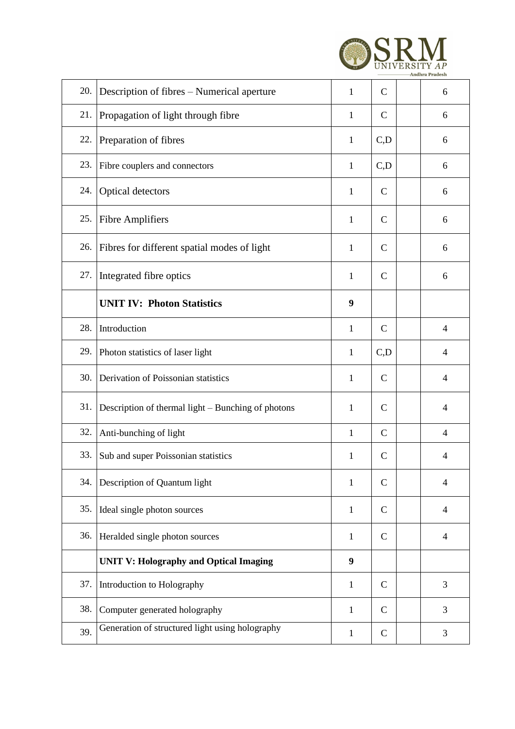|     |                                                    |              |               | <b>Andhra Pradesh</b> |
|-----|----------------------------------------------------|--------------|---------------|-----------------------|
| 20. | Description of fibres – Numerical aperture         | 1            | $\mathcal{C}$ | 6                     |
| 21. | Propagation of light through fibre                 | $\mathbf{1}$ | $\mathsf{C}$  | 6                     |
| 22. | Preparation of fibres                              | 1            | C,D           | 6                     |
| 23. | Fibre couplers and connectors                      | 1            | C,D           | 6                     |
| 24. | Optical detectors                                  | 1            | $\mathsf{C}$  | 6                     |
| 25. | <b>Fibre Amplifiers</b>                            | 1            | $\mathcal{C}$ | 6                     |
| 26. | Fibres for different spatial modes of light        | 1            | $\mathcal{C}$ | 6                     |
| 27. | Integrated fibre optics                            | $\mathbf{1}$ | $\mathbf C$   | 6                     |
|     | <b>UNIT IV: Photon Statistics</b>                  | 9            |               |                       |
| 28. | Introduction                                       | 1            | $\mathbf C$   | $\overline{4}$        |
| 29. | Photon statistics of laser light                   | 1            | C,D           | $\overline{4}$        |
| 30. | Derivation of Poissonian statistics                | 1            | $\mathbf C$   | $\overline{4}$        |
| 31. | Description of thermal light – Bunching of photons | 1            | $\mathcal{C}$ | 4                     |
| 32. | Anti-bunching of light                             | $\mathbf{1}$ | $\mathcal{C}$ | $\overline{4}$        |
| 33. | Sub and super Poissonian statistics                | $\mathbf{1}$ | $\mathsf{C}$  | $\overline{4}$        |
| 34. | Description of Quantum light                       | $\mathbf{1}$ | $\mathsf{C}$  | $\overline{4}$        |
| 35. | Ideal single photon sources                        | $\mathbf{1}$ | $\mathbf C$   | $\overline{4}$        |
| 36. | Heralded single photon sources                     | $\mathbf{1}$ | $\mathsf{C}$  | $\overline{4}$        |
|     | <b>UNIT V: Holography and Optical Imaging</b>      | 9            |               |                       |
| 37. | Introduction to Holography                         | $\mathbf{1}$ | $\mathsf{C}$  | 3                     |
| 38. | Computer generated holography                      | $\mathbf{1}$ | $\mathsf{C}$  | 3                     |
| 39. | Generation of structured light using holography    | $\mathbf{1}$ | $\mathbf C$   | 3                     |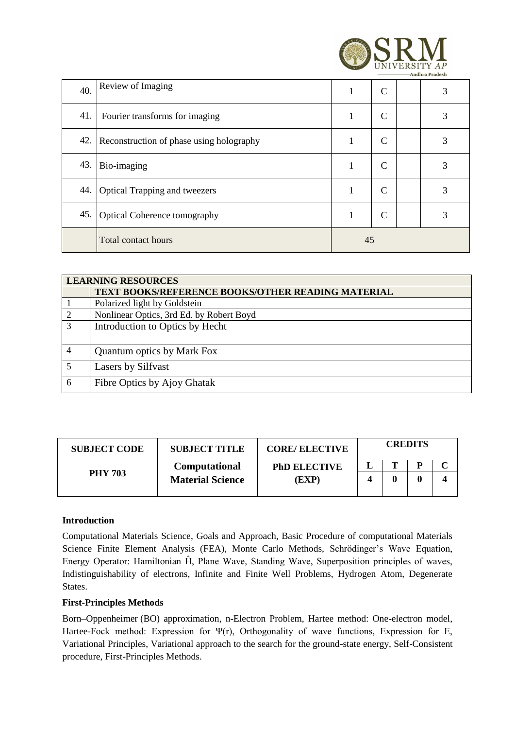|     |                                          |    |               | <b>Andhra Pradesh</b> |
|-----|------------------------------------------|----|---------------|-----------------------|
| 40. | Review of Imaging                        | 1  | $\mathcal{C}$ | 3                     |
| 41. | Fourier transforms for imaging           | 1  | $\mathcal{C}$ | 3                     |
| 42. | Reconstruction of phase using holography | 1  | $\mathsf{C}$  | 3                     |
| 43. | Bio-imaging                              | 1  | $\mathsf{C}$  | 3                     |
| 44. | <b>Optical Trapping and tweezers</b>     | 1  | $\mathcal{C}$ | 3                     |
| 45. | Optical Coherence tomography             | 1  | $\mathcal{C}$ | 3                     |
|     | <b>Total contact hours</b>               | 45 |               |                       |

**ACDM** 

|   | <b>LEARNING RESOURCES</b>                         |
|---|---------------------------------------------------|
|   | TEXT BOOKS/REFERENCE BOOKS/OTHER READING MATERIAL |
|   | Polarized light by Goldstein                      |
|   | Nonlinear Optics, 3rd Ed. by Robert Boyd          |
| 3 | Introduction to Optics by Hecht                   |
| 4 | <b>Quantum optics by Mark Fox</b>                 |
| 5 | Lasers by Silfvast                                |
| 6 | Fibre Optics by Ajoy Ghatak                       |

| <b>SUBJECT CODE</b> | <b>SUBJECT TITLE</b>    | <b>CORE/ ELECTIVE</b> | <b>CREDITS</b> |  |  |  |
|---------------------|-------------------------|-----------------------|----------------|--|--|--|
|                     | Computational           | <b>PhD ELECTIVE</b>   |                |  |  |  |
| <b>PHY 703</b>      | <b>Material Science</b> | (EXP)                 |                |  |  |  |
|                     |                         |                       |                |  |  |  |

#### **Introduction**

Computational Materials Science, Goals and Approach, Basic Procedure of computational Materials Science Finite Element Analysis (FEA), Monte Carlo Methods, Schrödinger's Wave Equation, Energy Operator: Hamiltonian Ĥ, Plane Wave, Standing Wave, Superposition principles of waves, Indistinguishability of electrons, Infinite and Finite Well Problems, Hydrogen Atom, Degenerate States.

#### **First-Principles Methods**

Born–Oppenheimer (BO) approximation, n-Electron Problem, Hartee method: One-electron model, Hartee-Fock method: Expression for Ψ(r), Orthogonality of wave functions, Expression for E, Variational Principles, Variational approach to the search for the ground-state energy, Self-Consistent procedure, First-Principles Methods.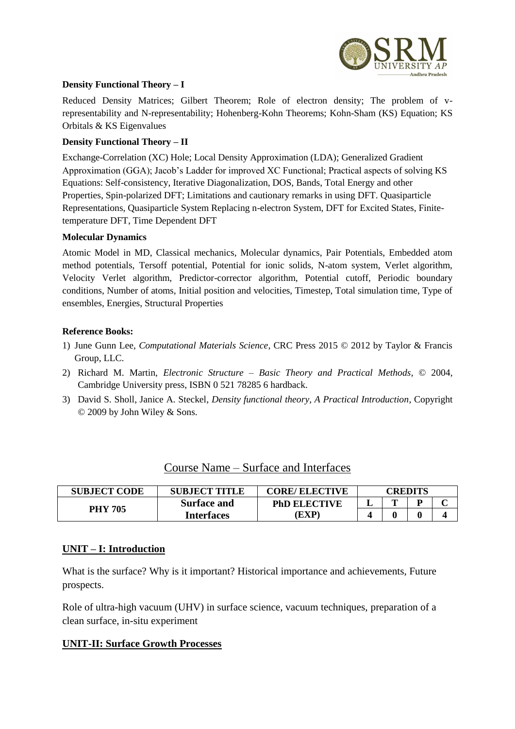

#### **Density Functional Theory – I**

Reduced Density Matrices; Gilbert Theorem; Role of electron density; The problem of vrepresentability and N-representability; Hohenberg-Kohn Theorems; Kohn-Sham (KS) Equation; KS Orbitals & KS Eigenvalues

#### **Density Functional Theory – II**

Exchange-Correlation (XC) Hole; Local Density Approximation (LDA); Generalized Gradient Approximation (GGA); Jacob's Ladder for improved XC Functional; Practical aspects of solving KS Equations: Self-consistency, Iterative Diagonalization, DOS, Bands, Total Energy and other Properties, Spin-polarized DFT; Limitations and cautionary remarks in using DFT. Quasiparticle Representations, Quasiparticle System Replacing n-electron System, DFT for Excited States, Finitetemperature DFT, Time Dependent DFT

#### **Molecular Dynamics**

Atomic Model in MD, Classical mechanics, Molecular dynamics, Pair Potentials, Embedded atom method potentials, Tersoff potential, Potential for ionic solids, N-atom system, Verlet algorithm, Velocity Verlet algorithm, Predictor-corrector algorithm, Potential cutoff, Periodic boundary conditions, Number of atoms, Initial position and velocities, Timestep, Total simulation time, Type of ensembles, Energies, Structural Properties

#### **Reference Books:**

- 1) June Gunn Lee, *Computational Materials Science*, CRC Press 2015 © 2012 by Taylor & Francis Group, LLC.
- 2) Richard M. Martin, *Electronic Structure – Basic Theory and Practical Methods*, © 2004, Cambridge University press, ISBN 0 521 78285 6 hardback.
- 3) David S. Sholl, Janice A. Steckel, *Density functional theory, A Practical Introduction*, Copyright © 2009 by John Wiley & Sons.

| <b>SUBJECT CODE</b> | <b>SUBJECT TITLE</b> | <b>CORE/ ELECTIVE</b> | CREDITS |   |  |  |
|---------------------|----------------------|-----------------------|---------|---|--|--|
| <b>PHY 705</b>      | <b>Surface and</b>   | <b>PhD ELECTIVE</b>   | ┻       | m |  |  |
|                     | <b>Interfaces</b>    | EXP                   |         |   |  |  |

#### **UNIT – I: Introduction**

What is the surface? Why is it important? Historical importance and achievements, Future prospects.

Role of ultra-high vacuum (UHV) in surface science, vacuum techniques, preparation of a clean surface, in-situ experiment

#### **UNIT-II: Surface Growth Processes**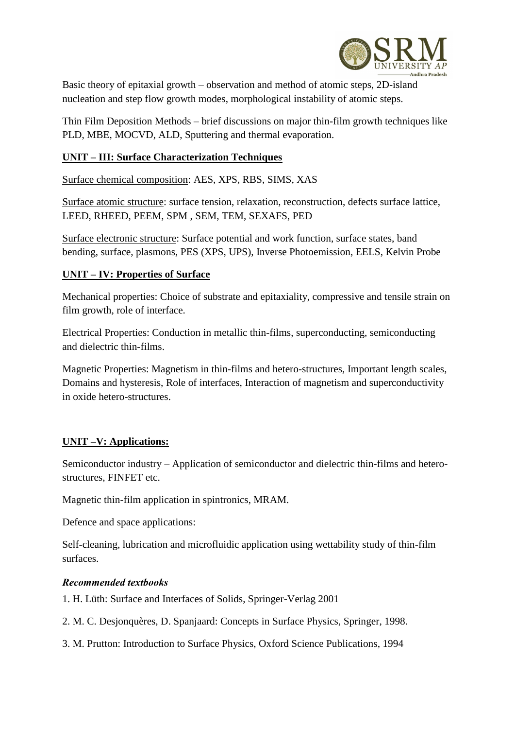

Basic theory of epitaxial growth – observation and method of atomic steps, 2D-island nucleation and step flow growth modes, morphological instability of atomic steps.

Thin Film Deposition Methods – brief discussions on major thin-film growth techniques like PLD, MBE, MOCVD, ALD, Sputtering and thermal evaporation.

# **UNIT – III: Surface Characterization Techniques**

Surface chemical composition: AES, XPS, RBS, SIMS, XAS

Surface atomic structure: surface tension, relaxation, reconstruction, defects surface lattice, LEED, RHEED, PEEM, SPM , SEM, TEM, SEXAFS, PED

Surface electronic structure: Surface potential and work function, surface states, band bending, surface, plasmons, PES (XPS, UPS), Inverse Photoemission, EELS, Kelvin Probe

# **UNIT – IV: Properties of Surface**

Mechanical properties: Choice of substrate and epitaxiality, compressive and tensile strain on film growth, role of interface.

Electrical Properties: Conduction in metallic thin-films, superconducting, semiconducting and dielectric thin-films.

Magnetic Properties: Magnetism in thin-films and hetero-structures, Important length scales, Domains and hysteresis, Role of interfaces, Interaction of magnetism and superconductivity in oxide hetero-structures.

# **UNIT –V: Applications:**

Semiconductor industry – Application of semiconductor and dielectric thin-films and heterostructures, FINFET etc.

Magnetic thin-film application in spintronics, MRAM.

Defence and space applications:

Self-cleaning, lubrication and microfluidic application using wettability study of thin-film surfaces.

# *Recommended textbooks*

- 1. H. Lüth: Surface and Interfaces of Solids, Springer-Verlag 2001
- 2. M. C. Desjonquères, D. Spanjaard: Concepts in Surface Physics, Springer, 1998.
- 3. M. Prutton: Introduction to Surface Physics, Oxford Science Publications, 1994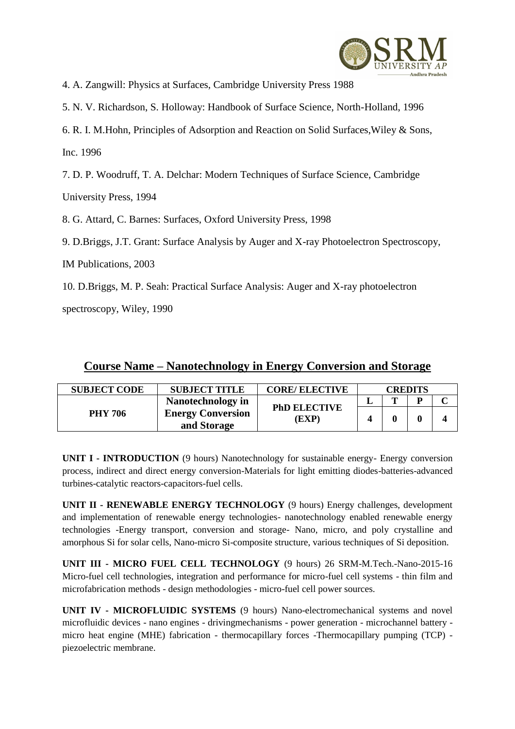

4. A. Zangwill: Physics at Surfaces, Cambridge University Press 1988

5. N. V. Richardson, S. Holloway: Handbook of Surface Science, North-Holland, 1996

6. R. I. M.Hohn, Principles of Adsorption and Reaction on Solid Surfaces,Wiley & Sons,

Inc. 1996

7. D. P. Woodruff, T. A. Delchar: Modern Techniques of Surface Science, Cambridge

University Press, 1994

8. G. Attard, C. Barnes: Surfaces, Oxford University Press, 1998

9. D.Briggs, J.T. Grant: Surface Analysis by Auger and X-ray Photoelectron Spectroscopy,

IM Publications, 2003

10. D.Briggs, M. P. Seah: Practical Surface Analysis: Auger and X-ray photoelectron

spectroscopy, Wiley, 1990

| <b>SUBJECT CODE</b> | <b>SUBJECT TITLE</b>                    | <b>CORE/ ELECTIVE</b>        | <b>CREDITS</b> |   |   |  |
|---------------------|-----------------------------------------|------------------------------|----------------|---|---|--|
|                     | Nanotechnology in                       |                              |                | m | D |  |
| <b>PHY 706</b>      | <b>Energy Conversion</b><br>and Storage | <b>PhD ELECTIVE</b><br>(EXP) |                |   |   |  |

**UNIT I - INTRODUCTION** (9 hours) Nanotechnology for sustainable energy- Energy conversion process, indirect and direct energy conversion-Materials for light emitting diodes-batteries-advanced turbines-catalytic reactors-capacitors-fuel cells.

**UNIT II - RENEWABLE ENERGY TECHNOLOGY** (9 hours) Energy challenges, development and implementation of renewable energy technologies- nanotechnology enabled renewable energy technologies -Energy transport, conversion and storage- Nano, micro, and poly crystalline and amorphous Si for solar cells, Nano-micro Si-composite structure, various techniques of Si deposition.

**UNIT III - MICRO FUEL CELL TECHNOLOGY** (9 hours) 26 SRM-M.Tech.-Nano-2015-16 Micro-fuel cell technologies, integration and performance for micro-fuel cell systems - thin film and microfabrication methods - design methodologies - micro-fuel cell power sources.

**UNIT IV - MICROFLUIDIC SYSTEMS** (9 hours) Nano-electromechanical systems and novel microfluidic devices - nano engines - drivingmechanisms - power generation - microchannel battery micro heat engine (MHE) fabrication - thermocapillary forces -Thermocapillary pumping (TCP) piezoelectric membrane.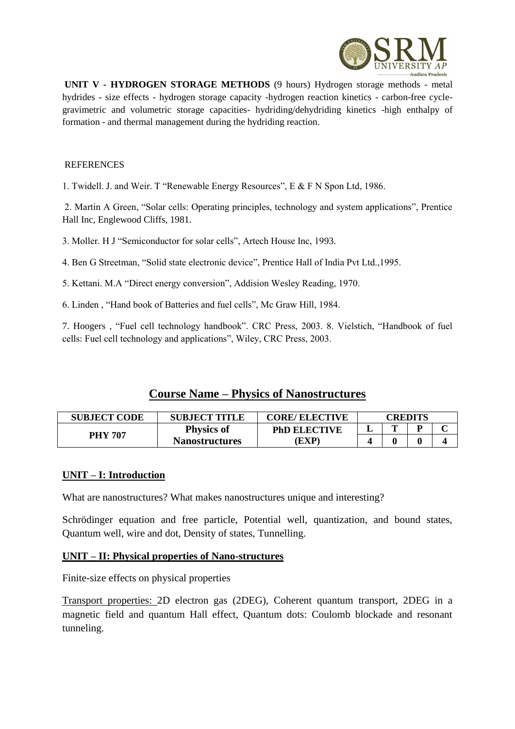

**UNIT V - HYDROGEN STORAGE METHODS** (9 hours) Hydrogen storage methods - metal hydrides - size effects - hydrogen storage capacity -hydrogen reaction kinetics - carbon-free cyclegravimetric and volumetric storage capacities- hydriding/dehydriding kinetics -high enthalpy of formation - and thermal management during the hydriding reaction.

#### REFERENCES

1. Twidell. J. and Weir. T "Renewable Energy Resources", E & F N Spon Ltd, 1986.

2. Martin A Green, "Solar cells: Operating principles, technology and system applications", Prentice Hall Inc, Englewood Cliffs, 1981.

3. Moller. H J "Semiconductor for solar cells", Artech House Inc, 1993.

4. Ben G Streetman, "Solid state electronic device", Prentice Hall of India Pvt Ltd.,1995.

5. Kettani. M.A "Direct energy conversion", Addision Wesley Reading, 1970.

6. Linden , "Hand book of Batteries and fuel cells", Mc Graw Hill, 1984.

7. Hoogers , "Fuel cell technology handbook". CRC Press, 2003. 8. Vielstich, "Handbook of fuel cells: Fuel cell technology and applications", Wiley, CRC Press, 2003.

# **Course Name – Physics of Nanostructures**

| <b>SUBJECT CODE</b> | <b>SUBJECT TITLE</b>  | <b>CORE/ ELECTIVE</b> | CREDITS |   |  |  |
|---------------------|-----------------------|-----------------------|---------|---|--|--|
| <b>PHY 707</b>      | <b>Physics of</b>     | <b>PhD ELECTIVE</b>   | . .     | m |  |  |
|                     | <b>Nanostructures</b> | EXP)                  |         |   |  |  |

#### **UNIT – I: Introduction**

What are nanostructures? What makes nanostructures unique and interesting?

Schrödinger equation and free particle, Potential well, quantization, and bound states, Quantum well, wire and dot, Density of states, Tunnelling.

#### **UNIT – II: Physical properties of Nano-structures**

Finite-size effects on physical properties

Transport properties: 2D electron gas (2DEG), Coherent quantum transport, 2DEG in a magnetic field and quantum Hall effect, Quantum dots: Coulomb blockade and resonant tunneling.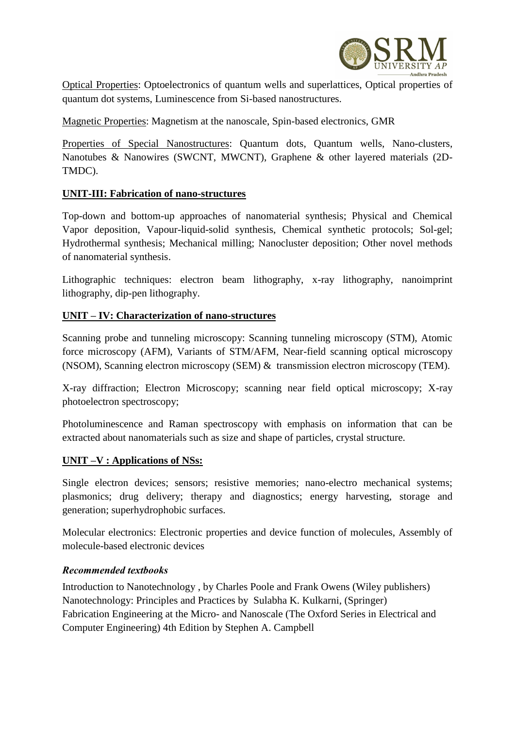

Optical Properties: Optoelectronics of quantum wells and superlattices, Optical properties of quantum dot systems, Luminescence from Si-based nanostructures.

Magnetic Properties: Magnetism at the nanoscale, Spin-based electronics, GMR

Properties of Special Nanostructures: Quantum dots, Quantum wells, Nano-clusters, Nanotubes & Nanowires (SWCNT, MWCNT), Graphene & other layered materials (2D-TMDC).

#### **UNIT-III: Fabrication of nano-structures**

Top-down and bottom-up approaches of nanomaterial synthesis; Physical and Chemical Vapor deposition, Vapour-liquid-solid synthesis, Chemical synthetic protocols; Sol-gel; Hydrothermal synthesis; Mechanical milling; Nanocluster deposition; Other novel methods of nanomaterial synthesis.

Lithographic techniques: electron beam lithography, x-ray lithography, nanoimprint lithography, dip-pen lithography.

#### **UNIT – IV: Characterization of nano-structures**

Scanning probe and tunneling microscopy: Scanning tunneling microscopy (STM), Atomic force microscopy (AFM), Variants of STM/AFM, Near-field scanning optical microscopy (NSOM), Scanning electron microscopy (SEM) & transmission electron microscopy (TEM).

X-ray diffraction; Electron Microscopy; scanning near field optical microscopy; X-ray photoelectron spectroscopy;

Photoluminescence and Raman spectroscopy with emphasis on information that can be extracted about nanomaterials such as size and shape of particles, crystal structure.

#### **UNIT –V : Applications of NSs:**

Single electron devices; sensors; resistive memories; nano-electro mechanical systems; plasmonics; drug delivery; therapy and diagnostics; energy harvesting, storage and generation; superhydrophobic surfaces.

Molecular electronics: Electronic properties and device function of molecules, Assembly of molecule-based electronic devices

#### *Recommended textbooks*

Introduction to Nanotechnology , by Charles Poole and Frank Owens (Wiley publishers) Nanotechnology: Principles and Practices by Sulabha K. Kulkarni, (Springer) Fabrication Engineering at the Micro- and Nanoscale (The Oxford Series in Electrical and Computer Engineering) 4th Edition by Stephen A. Campbell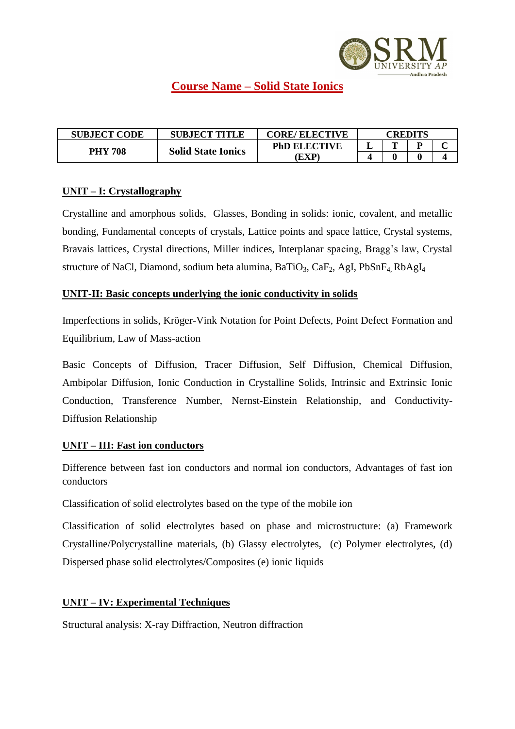

# **Course Name – Solid State Ionics**

| <b>SUBJECT CODE</b> | <b>SUBJECT TITLE</b>      | <b>CORE/ ELECTIVE</b> | CREDITS |   |  |  |
|---------------------|---------------------------|-----------------------|---------|---|--|--|
| <b>PHY 708</b>      | <b>Solid State Ionics</b> | <b>PhD ELECTIVE</b>   | . .     | m |  |  |
|                     |                           | EXP)                  |         |   |  |  |

#### **UNIT – I: Crystallography**

Crystalline and amorphous solids, Glasses, Bonding in solids: ionic, covalent, and metallic bonding, Fundamental concepts of crystals, Lattice points and space lattice, Crystal systems, Bravais lattices, Crystal directions, Miller indices, Interplanar spacing, Bragg's law, Crystal structure of NaCl, Diamond, sodium beta alumina, BaTiO<sub>3</sub>, CaF<sub>2</sub>, AgI, PbSnF<sub>4</sub>, RbAgI<sub>4</sub>

#### **UNIT-II: Basic concepts underlying the ionic conductivity in solids**

Imperfections in solids, Kröger-Vink Notation for Point Defects, Point Defect Formation and Equilibrium, Law of Mass-action

Basic Concepts of Diffusion, Tracer Diffusion, Self Diffusion, Chemical Diffusion, Ambipolar Diffusion, Ionic Conduction in Crystalline Solids, Intrinsic and Extrinsic Ionic Conduction, Transference Number, Nernst-Einstein Relationship, and Conductivity-Diffusion Relationship

# **UNIT – III: Fast ion conductors**

Difference between fast ion conductors and normal ion conductors, Advantages of fast ion conductors

Classification of solid electrolytes based on the type of the mobile ion

Classification of solid electrolytes based on phase and microstructure: (a) Framework Crystalline/Polycrystalline materials, (b) Glassy electrolytes, (c) Polymer electrolytes, (d) Dispersed phase solid electrolytes/Composites (e) ionic liquids

# **UNIT – IV: Experimental Techniques**

Structural analysis: X-ray Diffraction, Neutron diffraction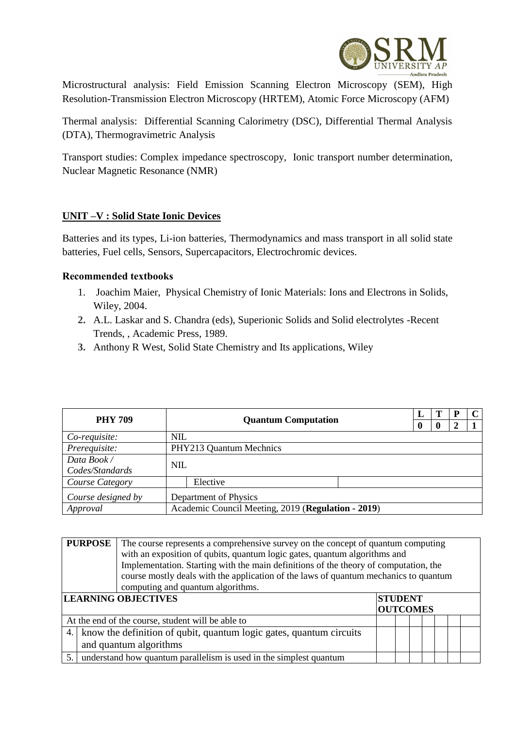

Microstructural analysis: Field Emission Scanning Electron Microscopy (SEM), High Resolution-Transmission Electron Microscopy (HRTEM), Atomic Force Microscopy (AFM)

Thermal analysis: Differential Scanning Calorimetry (DSC), Differential Thermal Analysis (DTA), Thermogravimetric Analysis

Transport studies: Complex impedance spectroscopy, Ionic transport number determination, Nuclear Magnetic Resonance (NMR)

# **UNIT –V : Solid State Ionic Devices**

Batteries and its types, Li-ion batteries, Thermodynamics and mass transport in all solid state batteries, Fuel cells, Sensors, Supercapacitors, Electrochromic devices.

#### **Recommended textbooks**

- 1. Joachim Maier, Physical Chemistry of Ionic Materials: Ions and Electrons in Solids, Wiley, 2004.
- **2.** A.L. Laskar and S. Chandra (eds), Superionic Solids and Solid electrolytes -Recent Trends, , Academic Press, 1989.
- **3.** Anthony R West, Solid State Chemistry and Its applications, Wiley

| <b>PHY 709</b>     | <b>Quantum Computation</b> |                                                    |             |  | P |   | C |
|--------------------|----------------------------|----------------------------------------------------|-------------|--|---|---|---|
|                    |                            |                                                    | $\mathbf 0$ |  |   | 7 |   |
| Co-requisite:      | <b>NIL</b>                 |                                                    |             |  |   |   |   |
| Prerequisite:      |                            | PHY213 Quantum Mechnics                            |             |  |   |   |   |
| Data Book/         | <b>NIL</b>                 |                                                    |             |  |   |   |   |
| Codes/Standards    |                            |                                                    |             |  |   |   |   |
| Course Category    |                            | Elective                                           |             |  |   |   |   |
| Course designed by |                            | Department of Physics                              |             |  |   |   |   |
| Approval           |                            | Academic Council Meeting, 2019 (Regulation - 2019) |             |  |   |   |   |

|    | <b>PURPOSE</b><br>The course represents a comprehensive survey on the concept of quantum computing<br>with an exposition of qubits, quantum logic gates, quantum algorithms and<br>Implementation. Starting with the main definitions of the theory of computation, the<br>course mostly deals with the application of the laws of quantum mechanics to quantum<br>computing and quantum algorithms. |                                                   |  |  |  |  |  |  |  |
|----|------------------------------------------------------------------------------------------------------------------------------------------------------------------------------------------------------------------------------------------------------------------------------------------------------------------------------------------------------------------------------------------------------|---------------------------------------------------|--|--|--|--|--|--|--|
|    | <b>LEARNING OBJECTIVES</b><br><b>STUDENT</b><br><b>OUTCOMES</b>                                                                                                                                                                                                                                                                                                                                      |                                                   |  |  |  |  |  |  |  |
|    |                                                                                                                                                                                                                                                                                                                                                                                                      | At the end of the course, student will be able to |  |  |  |  |  |  |  |
|    | 4. know the definition of qubit, quantum logic gates, quantum circuits<br>and quantum algorithms                                                                                                                                                                                                                                                                                                     |                                                   |  |  |  |  |  |  |  |
| 5. | understand how quantum parallelism is used in the simplest quantum                                                                                                                                                                                                                                                                                                                                   |                                                   |  |  |  |  |  |  |  |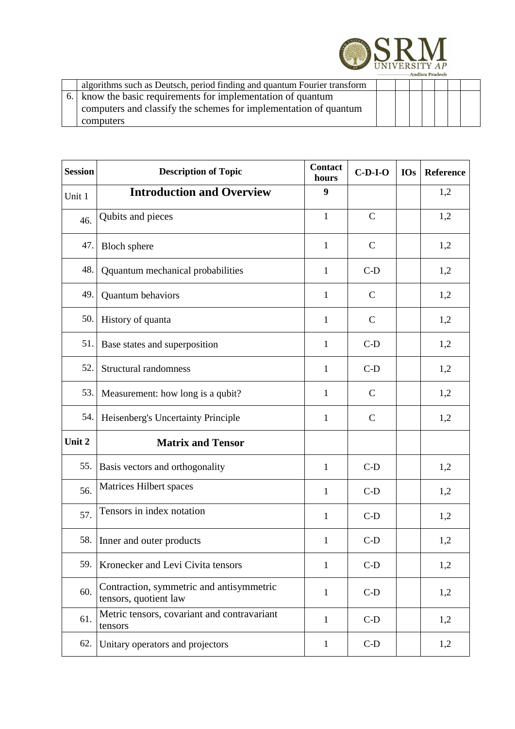

| algorithms such as Deutsch, period finding and quantum Fourier transform |  |  |  |  |
|--------------------------------------------------------------------------|--|--|--|--|
| 6.   know the basic requirements for implementation of quantum           |  |  |  |  |
| computers and classify the schemes for implementation of quantum         |  |  |  |  |
| computers                                                                |  |  |  |  |

| <b>Session</b> | <b>Description of Topic</b>                                       | <b>Contact</b><br>hours | $C-D-I-O$    | <b>IOs</b> | Reference |
|----------------|-------------------------------------------------------------------|-------------------------|--------------|------------|-----------|
| Unit 1         | <b>Introduction and Overview</b>                                  | 9                       |              |            | 1,2       |
| 46.            | Qubits and pieces                                                 | $\mathbf{1}$            | $\mathbf C$  |            | 1,2       |
| 47.            | <b>Bloch</b> sphere                                               | $\mathbf{1}$            | $\mathbf C$  |            | 1,2       |
| 48.            | Qquantum mechanical probabilities                                 | 1                       | $C-D$        |            | 1,2       |
| 49.            | Quantum behaviors                                                 | $\mathbf{1}$            | $\mathbf C$  |            | 1,2       |
| 50.            | History of quanta                                                 | 1                       | $\mathbf C$  |            | 1,2       |
| 51.            | Base states and superposition                                     | 1                       | $C-D$        |            | 1,2       |
| 52.            | <b>Structural randomness</b>                                      | $\mathbf{1}$            | $C-D$        |            | 1,2       |
| 53.            | Measurement: how long is a qubit?                                 | 1                       | $\mathbf C$  |            | 1,2       |
| 54.            | Heisenberg's Uncertainty Principle                                | 1                       | $\mathsf{C}$ |            | 1,2       |
| Unit 2         | <b>Matrix and Tensor</b>                                          |                         |              |            |           |
| 55.            | Basis vectors and orthogonality                                   | $\mathbf{1}$            | $C-D$        |            | 1,2       |
| 56.            | Matrices Hilbert spaces                                           | 1                       | $C-D$        |            | 1,2       |
| 57.            | Tensors in index notation                                         | 1                       | $C-D$        |            | 1,2       |
| 58.            | Inner and outer products                                          | $\mathbf{1}$            | $C-D$        |            | 1,2       |
| 59.            | Kronecker and Levi Civita tensors                                 | $\mathbf{1}$            | $C-D$        |            | 1,2       |
| 60.            | Contraction, symmetric and antisymmetric<br>tensors, quotient law | $\mathbf{1}$            | $C-D$        |            | 1,2       |
| 61.            | Metric tensors, covariant and contravariant<br>tensors            | $\mathbf{1}$            | $C-D$        |            | 1,2       |
| 62.            | Unitary operators and projectors                                  | $\mathbf{1}$            | $C-D$        |            | 1,2       |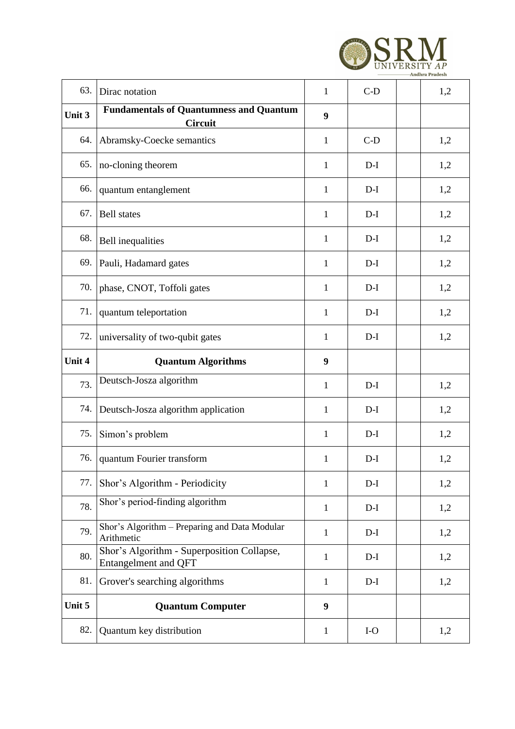

| 63.    | Dirac notation                                                            | $\mathbf{1}$ | $C-D$ | 1,2 |
|--------|---------------------------------------------------------------------------|--------------|-------|-----|
| Unit 3 | <b>Fundamentals of Quantumness and Quantum</b><br>Circuit                 | 9            |       |     |
| 64.    | Abramsky-Coecke semantics                                                 | $\mathbf{1}$ | $C-D$ | 1,2 |
| 65.    | no-cloning theorem                                                        | $\mathbf{1}$ | $D-I$ | 1,2 |
| 66.    | quantum entanglement                                                      | $\mathbf{1}$ | $D-I$ | 1,2 |
| 67.    | <b>Bell</b> states                                                        | $\mathbf{1}$ | $D-I$ | 1,2 |
| 68.    | <b>Bell</b> inequalities                                                  | 1            | $D-I$ | 1,2 |
| 69.    | Pauli, Hadamard gates                                                     | 1            | $D-I$ | 1,2 |
| 70.    | phase, CNOT, Toffoli gates                                                | $\mathbf{1}$ | $D-I$ | 1,2 |
| 71.    | quantum teleportation                                                     | $\mathbf{1}$ | $D-I$ | 1,2 |
| 72.    | universality of two-qubit gates                                           | 1            | $D-I$ | 1,2 |
| Unit 4 | <b>Quantum Algorithms</b>                                                 | 9            |       |     |
| 73.    | Deutsch-Josza algorithm                                                   | 1            | $D-I$ | 1,2 |
| 74.    | Deutsch-Josza algorithm application                                       | 1            | $D-I$ | 1,2 |
| 75.    | Simon's problem                                                           | 1            | $D-I$ | 1,2 |
| 76.    | quantum Fourier transform                                                 | 1            | $D-I$ | 1,2 |
| 77.    | Shor's Algorithm - Periodicity                                            | $\mathbf{1}$ | $D-I$ | 1,2 |
| 78.    | Shor's period-finding algorithm                                           | $\mathbf{1}$ | $D-I$ | 1,2 |
| 79.    | Shor's Algorithm - Preparing and Data Modular<br>Arithmetic               | $\mathbf{1}$ | $D-I$ | 1,2 |
| 80.    | Shor's Algorithm - Superposition Collapse,<br><b>Entangelment and QFT</b> | $\mathbf{1}$ | $D-I$ | 1,2 |
| 81.    | Grover's searching algorithms                                             | $\mathbf{1}$ | $D-I$ | 1,2 |
| Unit 5 | <b>Quantum Computer</b>                                                   | 9            |       |     |
| 82.    | Quantum key distribution                                                  | $\mathbf{1}$ | $I-O$ | 1,2 |